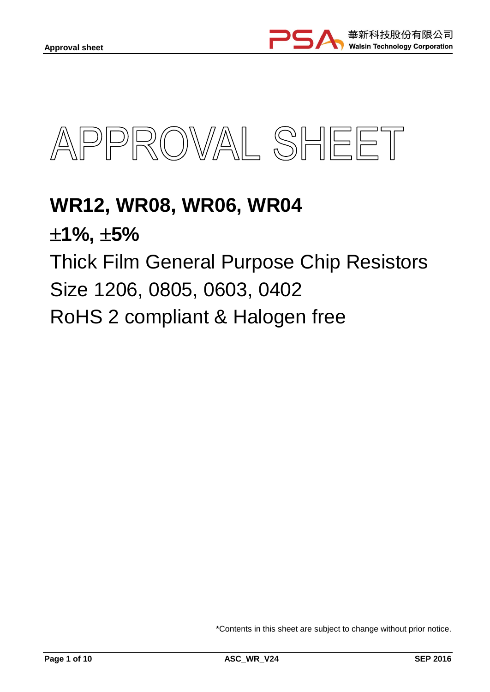

# **WR12, WR08, WR06, WR04 1%, 5%** Thick Film General Purpose Chip Resistors Size 1206, 0805, 0603, 0402 RoHS 2 compliant & Halogen free

\*Contents in this sheet are subject to change without prior notice.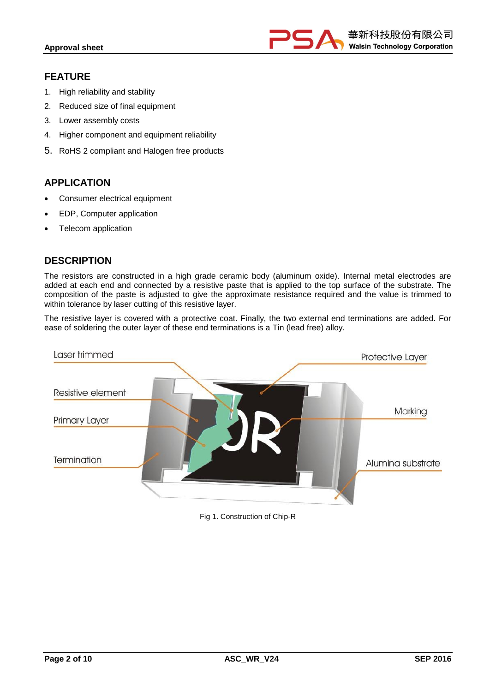

## **FEATURE**

- 1. High reliability and stability
- 2. Reduced size of final equipment
- 3. Lower assembly costs
- 4. Higher component and equipment reliability
- 5. RoHS 2 compliant and Halogen free products

# **APPLICATION**

- Consumer electrical equipment
- EDP, Computer application
- Telecom application

## **DESCRIPTION**

The resistors are constructed in a high grade ceramic body (aluminum oxide). Internal metal electrodes are added at each end and connected by a resistive paste that is applied to the top surface of the substrate. The composition of the paste is adjusted to give the approximate resistance required and the value is trimmed to within tolerance by laser cutting of this resistive layer.

The resistive layer is covered with a protective coat. Finally, the two external end terminations are added. For ease of soldering the outer layer of these end terminations is a Tin (lead free) alloy.



#### Fig 1. Construction of Chip-R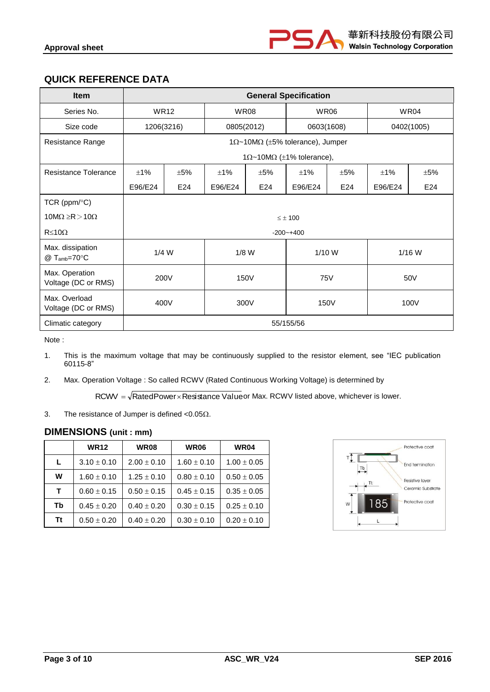# **QUICK REFERENCE DATA**

| <b>Item</b>                           |            | <b>General Specification</b>                      |         |            |                                                  |            |         |            |
|---------------------------------------|------------|---------------------------------------------------|---------|------------|--------------------------------------------------|------------|---------|------------|
| Series No.                            |            | <b>WR12</b><br><b>WR08</b><br><b>WR06</b><br>WR04 |         |            |                                                  |            |         |            |
| Size code                             | 1206(3216) |                                                   |         | 0805(2012) |                                                  | 0603(1608) |         | 0402(1005) |
| Resistance Range                      |            |                                                   |         |            | 1 $\Omega$ ~10M $\Omega$ (±5% tolerance), Jumper |            |         |            |
|                                       |            |                                                   |         |            | $1\Omega$ ~10M $\Omega$ (±1% tolerance),         |            |         |            |
| Resistance Tolerance                  | ±1%        | ±5%                                               | ±1%     | ±5%        | ±1%                                              | ±5%        | ±1%     | ±5%        |
|                                       | E96/E24    | E24                                               | E96/E24 | E24        | E96/E24                                          | E24        | E96/E24 | E24        |
| TCR ( $ppm$ / $\degree$ C)            |            |                                                   |         |            |                                                  |            |         |            |
| $10M\Omega \ge R > 10\Omega$          |            |                                                   |         |            | $\leq \pm 100$                                   |            |         |            |
| $R \le 10\Omega$                      |            |                                                   |         |            | $-200 - +400$                                    |            |         |            |
| Max. dissipation<br>$@T_{amb}=70°C$   | $1/4$ W    |                                                   |         | $1/8$ W    | $1/10$ W                                         |            |         | $1/16$ W   |
| Max. Operation<br>Voltage (DC or RMS) |            | 200V<br>150V<br><b>75V</b><br>50V                 |         |            |                                                  |            |         |            |
| Max. Overload<br>Voltage (DC or RMS)  |            | 400V<br>150V<br>100V<br>300V                      |         |            |                                                  |            |         |            |
| Climatic category                     |            |                                                   |         |            | 55/155/56                                        |            |         |            |

Note :

- 1. This is the maximum voltage that may be continuously supplied to the resistor element, see "IEC publication 60115-8"
- 2. Max. Operation Voltage : So called RCWV (Rated Continuous Working Voltage) is determined by

 $\mathsf{RCWV} = \sqrt{\mathsf{RatedPower}\times\mathsf{Resistance}}$  Valueor Max.  $\mathsf{RCWV}$  listed above, whichever is lower.

3. The resistance of Jumper is defined  $< 0.05 \Omega$ .

## **DIMENSIONS (unit : mm)**

|    | <b>WR12</b>     | <b>WR08</b>     | <b>WR06</b>     | <b>WR04</b>     |
|----|-----------------|-----------------|-----------------|-----------------|
| L  | $3.10 \pm 0.10$ | $2.00 \pm 0.10$ | $1.60 \pm 0.10$ | $1.00 \pm 0.05$ |
| W  | $1.60 \pm 0.10$ | $1.25 \pm 0.10$ | $0.80 \pm 0.10$ | $0.50 \pm 0.05$ |
| T. | $0.60 \pm 0.15$ | $0.50 \pm 0.15$ | $0.45 \pm 0.15$ | $0.35 \pm 0.05$ |
| Тb | $0.45 \pm 0.20$ | $0.40 \pm 0.20$ | $0.30 \pm 0.15$ | $0.25 \pm 0.10$ |
| Τt | $0.50 \pm 0.20$ | $0.40 \pm 0.20$ | $0.30 \pm 0.10$ | $0.20 \pm 0.10$ |

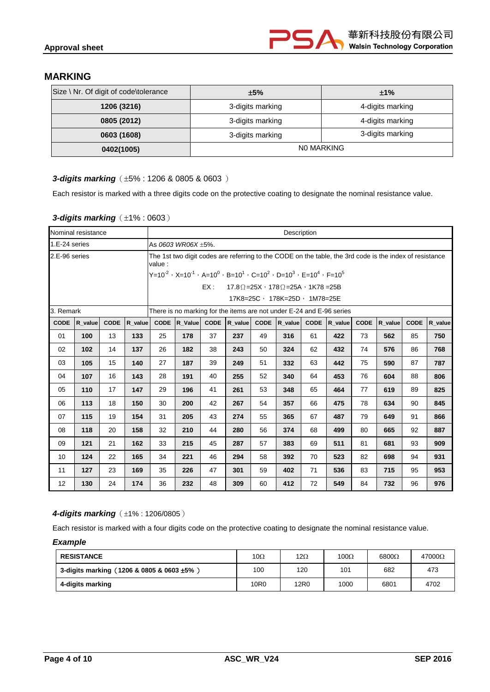## **MARKING**

| Size \ Nr. Of digit of code\tolerance | ±5%              | ±1%              |  |
|---------------------------------------|------------------|------------------|--|
| 1206 (3216)                           | 3-digits marking | 4-digits marking |  |
| 0805 (2012)                           | 3-digits marking | 4-digits marking |  |
| 0603 (1608)                           | 3-digits marking | 3-digits marking |  |
| 0402(1005)                            |                  | NO MARKING       |  |

#### **3-digits marking** ( $\pm 5\%$ : 1206 & 0805 & 0603)

Each resistor is marked with a three digits code on the protective coating to designate the nominal resistance value.

#### **3-digits marking** ( $\pm$ 1% : 0603)

|               | Nominal resistance |             |         |                                                                     | Description                                                   |             |         |    |                                                                                                         |             |         |             |         |             |         |
|---------------|--------------------|-------------|---------|---------------------------------------------------------------------|---------------------------------------------------------------|-------------|---------|----|---------------------------------------------------------------------------------------------------------|-------------|---------|-------------|---------|-------------|---------|
| 1.E-24 series |                    |             |         |                                                                     | As 0603 WR06X ±5%.                                            |             |         |    |                                                                                                         |             |         |             |         |             |         |
| 2.E-96 series |                    |             |         | value :                                                             |                                                               |             |         |    | The 1st two digit codes are referring to the CODE on the table, the 3rd code is the index of resistance |             |         |             |         |             |         |
|               |                    |             |         |                                                                     |                                                               |             |         |    | $Y=10^{-2}$ , $X=10^{-1}$ , $A=10^{0}$ , $B=10^{1}$ , $C=10^{2}$ , $D=10^{3}$ , $E=10^{4}$ , $F=10^{5}$ |             |         |             |         |             |         |
|               |                    |             |         |                                                                     |                                                               | EX :        |         |    | $17.8\Omega = 25X \cdot 178\Omega = 25A \cdot 1K78 = 25B$                                               |             |         |             |         |             |         |
|               |                    |             |         |                                                                     |                                                               |             |         |    | 17K8=25C, 178K=25D, 1M78=25E                                                                            |             |         |             |         |             |         |
| 3. Remark     |                    |             |         |                                                                     |                                                               |             |         |    | There is no marking for the items are not under E-24 and E-96 series                                    |             |         |             |         |             |         |
| <b>CODE</b>   | R_value            | <b>CODE</b> | R value |                                                                     | CODE R_Value                                                  | <b>CODE</b> | R_value |    | $CODE  R value $                                                                                        | <b>CODE</b> | R_value | <b>CODE</b> | R_value | <b>CODE</b> | R value |
| 01            | 100                | 13          | 133     | 25                                                                  | 178                                                           | 37          | 237     | 49 | 316                                                                                                     | 61          | 422     | 73          | 562     | 85          | 750     |
| 02            | 102                | 14          | 137     | 26                                                                  | 182                                                           | 38          | 243     | 50 | 324                                                                                                     | 62          | 432     | 74          | 576     | 86          | 768     |
| 03            | 105                | 15          | 140     | 27                                                                  | 187                                                           | 39          | 249     | 51 | 332                                                                                                     | 63          | 442     | 75          | 590     | 87          | 787     |
| 04            | 107                | 16          | 143     | 28                                                                  | 191                                                           | 40          | 255     | 52 | 340                                                                                                     | 64          | 453     | 76          | 604     | 88          | 806     |
| 05            | 110                | 17          | 147     | 29                                                                  | 196                                                           | 41          | 261     | 53 | 348                                                                                                     | 65          | 464     | 77          | 619     | 89          | 825     |
| 06            | 113                | 18          | 150     | 30                                                                  | 200                                                           | 42          | 267     | 54 | 357                                                                                                     | 66          | 475     | 78          | 634     | 90          | 845     |
| 07            | 115                | 19          | 154     | 31                                                                  | 205                                                           | 43          | 274     | 55 | 365                                                                                                     | 67          | 487     | 79          | 649     | 91          | 866     |
| 08            | 118                | 20          | 158     | 32                                                                  | 210                                                           | 44          | 280     | 56 | 374                                                                                                     | 68          | 499     | 80          | 665     | 92          | 887     |
| 09            | $121$              | 21          | 162     | 33                                                                  | 45<br>57<br>69<br>81<br>93<br>215<br>287<br>383<br>511<br>681 |             |         |    |                                                                                                         |             | 909     |             |         |             |         |
| 10            | 124                | 22          | 165     | 523<br>82<br>34<br>221<br>46<br>294<br>58<br>392<br>70<br>698<br>94 |                                                               |             |         |    |                                                                                                         |             | 931     |             |         |             |         |
| 11            | 127                | 23          | 169     | 35                                                                  | 83<br>47<br>59<br>71<br>95<br>226<br>301<br>402<br>536<br>715 |             |         |    |                                                                                                         |             |         | 953         |         |             |         |
| 12            | 130                | 24          | 174     | 36                                                                  | 232                                                           | 48          | 309     | 60 | 412                                                                                                     | 72          | 549     | 84          | 732     | 96          | 976     |

#### **4-digits marking** ( $\pm$ 1% : 1206/0805)

Each resistor is marked with a four digits code on the protective coating to designate the nominal resistance value.

#### *Example*

| <b>RESISTANCE</b>                              | 10 $\Omega$      | 12 $\Omega$ | 100 $\Omega$ | $6800\Omega$ | $47000\Omega$ |
|------------------------------------------------|------------------|-------------|--------------|--------------|---------------|
| 3-digits marking (1206 & 0805 & 0603 $\pm$ 5%) | 100              | 120         | 101          | 682          | 473           |
| 4-digits marking                               | 10 <sub>R0</sub> | 12R0        | 1000         | 6801         | 4702          |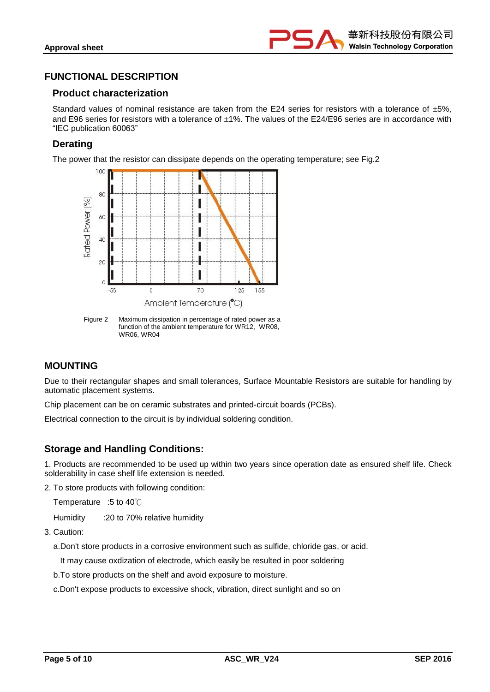

## **FUNCTIONAL DESCRIPTION**

#### **Product characterization**

Standard values of nominal resistance are taken from the E24 series for resistors with a tolerance of  $\pm 5\%$ . and E96 series for resistors with a tolerance of  $\pm 1\%$ . The values of the E24/E96 series are in accordance with "IEC publication 60063"

#### **Derating**

The power that the resistor can dissipate depends on the operating temperature; see Fig.2



Figure 2 Maximum dissipation in percentage of rated power as a function of the ambient temperature for WR12, WR08, WR06, WR04

## **MOUNTING**

Due to their rectangular shapes and small tolerances, Surface Mountable Resistors are suitable for handling by automatic placement systems.

Chip placement can be on ceramic substrates and printed-circuit boards (PCBs).

Electrical connection to the circuit is by individual soldering condition.

## **Storage and Handling Conditions:**

1. Products are recommended to be used up within two years since operation date as ensured shelf life. Check solderability in case shelf life extension is needed.

2. To store products with following condition:

Temperature :5 to 40℃

Humidity :20 to 70% relative humidity

3. Caution:

a.Don't store products in a corrosive environment such as sulfide, chloride gas, or acid.

It may cause oxdization of electrode, which easily be resulted in poor soldering

b.To store products on the shelf and avoid exposure to moisture.

c.Don't expose products to excessive shock, vibration, direct sunlight and so on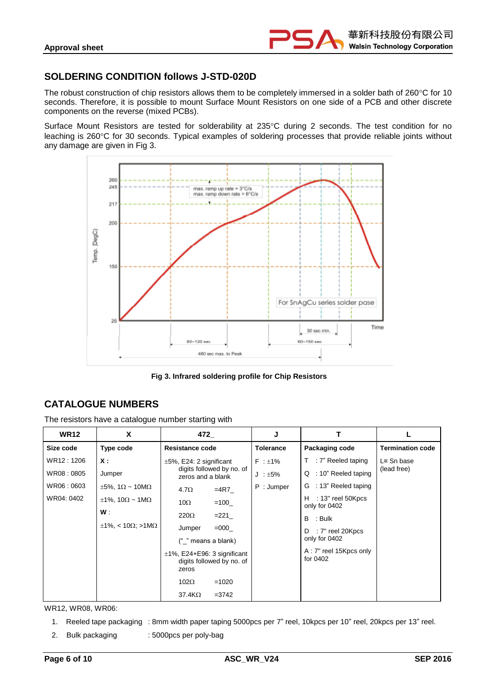## **SOLDERING CONDITION follows J-STD-020D**

The robust construction of chip resistors allows them to be completely immersed in a solder bath of  $260^{\circ}$ C for 10 seconds. Therefore, it is possible to mount Surface Mount Resistors on one side of a PCB and other discrete components on the reverse (mixed PCBs).

Surface Mount Resistors are tested for solderability at 235°C during 2 seconds. The test condition for no leaching is 260°C for 30 seconds. Typical examples of soldering processes that provide reliable joints without any damage are given in Fig 3.



**Fig 3. Infrared soldering profile for Chip Resistors**

# **CATALOGUE NUMBERS**

The resistors have a catalogue number starting with

| <b>WR12</b> | X                                             | 472                                                                    | J                |                                         |                         |
|-------------|-----------------------------------------------|------------------------------------------------------------------------|------------------|-----------------------------------------|-------------------------|
| Size code   | Type code                                     | Resistance code                                                        | <b>Tolerance</b> | Packaging code                          | <b>Termination code</b> |
| WR12 : 1206 | <b>X</b> :                                    | $\pm 5\%$ , E24: 2 significant                                         | $F : \pm 1\%$    | $T$ : 7" Reeled taping                  | $L =$ Sn base           |
| WR08:0805   | Jumper                                        | digits followed by no. of<br>zeros and a blank                         | $J : \pm 5\%$    | : 10" Reeled taping<br>Q                | (lead free)             |
| WR06:0603   | $\pm 5\%$ , 1 $\Omega \sim 10 \text{M}\Omega$ | $=4R7$<br>$4.7\Omega$                                                  | P: Jumper        | G : 13" Reeled taping                   |                         |
| WR04: 0402  | $\pm 1\%$ , 10 $\Omega \sim 1 \text{M}\Omega$ | $10\Omega$<br>$=100$                                                   |                  | $H$ : 13" reel 50 Kpcs<br>only for 0402 |                         |
|             | W.                                            | $220\Omega$<br>$=221$                                                  |                  | B : Bulk                                |                         |
|             | $\pm$ 1%, < 10 $\Omega$ ; >1M $\Omega$        | $=000$<br>Jumper<br>(" " means a blank)                                |                  | : 7" reel 20Kpcs<br>D<br>only for 0402  |                         |
|             |                                               | $\pm$ 1%, E24+E96: 3 significant<br>digits followed by no. of<br>zeros |                  | A: 7" reel 15Kpcs only<br>for 0402      |                         |
|             |                                               | $102\Omega$<br>$=1020$                                                 |                  |                                         |                         |
|             |                                               | 37.4KΩ<br>$= 3742$                                                     |                  |                                         |                         |

WR12, WR08, WR06:

- 1. Reeled tape packaging : 8mm width paper taping 5000pcs per 7" reel, 10kpcs per 10" reel, 20kpcs per 13" reel.
- 2. Bulk packaging : 5000pcs per poly-bag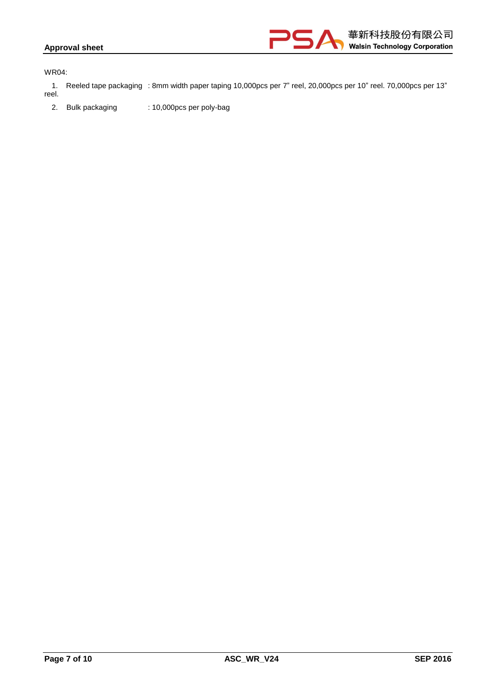#### **Approval sheet**



WR04:

1. Reeled tape packaging : 8mm width paper taping 10,000pcs per 7" reel, 20,000pcs per 10" reel. 70,000pcs per 13" reel.

2. Bulk packaging : 10,000pcs per poly-bag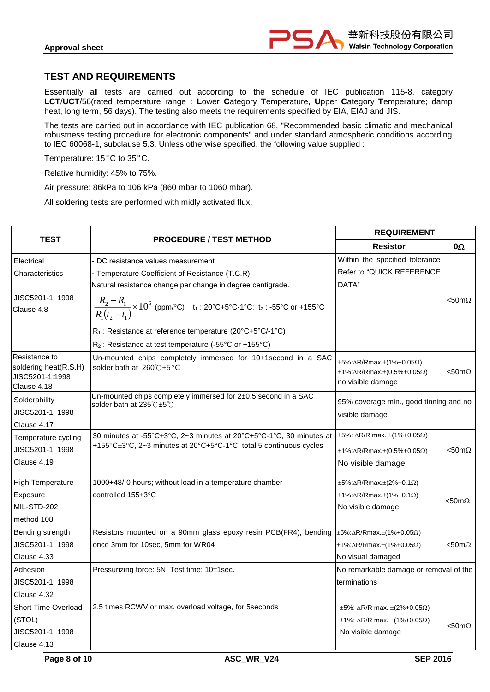

## **TEST AND REQUIREMENTS**

Essentially all tests are carried out according to the schedule of IEC publication 115-8, category **LCT**/**UCT**/56(rated temperature range : **L**ower **C**ategory **T**emperature, **U**pper **C**ategory **T**emperature; damp heat, long term, 56 days). The testing also meets the requirements specified by EIA, EIAJ and JIS.

The tests are carried out in accordance with IEC publication 68, "Recommended basic climatic and mechanical robustness testing procedure for electronic components" and under standard atmospheric conditions according to IEC 60068-1, subclause 5.3. Unless otherwise specified, the following value supplied :

Temperature: 15°C to 35°C.

Relative humidity: 45% to 75%.

Air pressure: 86kPa to 106 kPa (860 mbar to 1060 mbar).

All soldering tests are performed with midly activated flux.

|                                                                          |                                                                                                                                           | <b>REQUIREMENT</b>                                                                                                                    |                  |
|--------------------------------------------------------------------------|-------------------------------------------------------------------------------------------------------------------------------------------|---------------------------------------------------------------------------------------------------------------------------------------|------------------|
| <b>TEST</b>                                                              | <b>PROCEDURE / TEST METHOD</b>                                                                                                            | <b>Resistor</b>                                                                                                                       | 0Ω               |
| Electrical                                                               | DC resistance values measurement                                                                                                          | Within the specified tolerance                                                                                                        |                  |
| Characteristics                                                          | - Temperature Coefficient of Resistance (T.C.R)<br>Natural resistance change per change in degree centigrade.                             | Refer to "QUICK REFERENCE<br>DATA"                                                                                                    |                  |
| JISC5201-1: 1998<br>Clause 4.8                                           | $\frac{R_2 - R_1}{R_1(t_2 - t_1)}$ × 10 <sup>6</sup> (ppm/°C) t <sub>1</sub> : 20°C+5°C-1°C; t <sub>2</sub> : -55°C or +155°C             |                                                                                                                                       | $<$ 50m $\Omega$ |
|                                                                          | R <sub>1</sub> : Resistance at reference temperature (20°C+5°C/-1°C)                                                                      |                                                                                                                                       |                  |
|                                                                          | $R_2$ : Resistance at test temperature (-55°C or +155°C)                                                                                  |                                                                                                                                       |                  |
| Resistance to<br>soldering heat(R.S.H)<br>JISC5201-1:1998<br>Clause 4.18 | Un-mounted chips completely immersed for 10±1second in a SAC<br>solder bath at 260℃±5°C                                                   | $\pm 5\%$ : $\Delta$ R/Rmax. $\pm$ (1%+0.05 $\Omega$ )<br>$\pm$ 1%: $\Delta$ R/Rmax. $\pm$ (0.5%+0.05 $\Omega$ )<br>no visible damage | $<$ 50m $\Omega$ |
| Solderability<br>JISC5201-1: 1998<br>Clause 4.17                         | Un-mounted chips completely immersed for 2±0.5 second in a SAC<br>solder bath at 235℃±5℃                                                  | 95% coverage min., good tinning and no<br>visible damage                                                                              |                  |
| Temperature cycling<br>JISC5201-1: 1998<br>Clause 4.19                   | 30 minutes at -55°C±3°C, 2~3 minutes at 20°C+5°C-1°C, 30 minutes at<br>+155°C±3°C, 2~3 minutes at 20°C+5°C-1°C, total 5 continuous cycles | $\pm 5\%$ : $\Delta R/R$ max. $\pm (1\% + 0.05\Omega)$<br>$\pm$ 1%: $\Delta$ R/Rmax. $\pm$ (0.5%+0.05 $\Omega$ )<br>No visible damage | $<$ 50m $\Omega$ |
| <b>High Temperature</b><br>Exposure<br>MIL-STD-202<br>method 108         | 1000+48/-0 hours; without load in a temperature chamber<br>controlled 155±3°C                                                             | $\pm 5\%$ : $\Delta$ R/Rmax. $\pm$ (2%+0.1 $\Omega$ )<br>$\pm$ 1%: $\Delta$ R/Rmax. $\pm$ (1%+0.1 $\Omega$ )<br>No visible damage     | $<$ 50m $\Omega$ |
| Bending strength<br>JISC5201-1: 1998<br>Clause 4.33                      | Resistors mounted on a 90mm glass epoxy resin PCB(FR4), bending<br>once 3mm for 10sec, 5mm for WR04                                       | $\pm$ 5%: $\Delta$ R/Rmax. $\pm$ (1%+0.05 $\Omega$ )<br>$\pm$ 1%: $\Delta$ R/Rmax. $\pm$ (1%+0.05 $\Omega$ )<br>No visual damaged     | <50m $\Omega$    |
| Adhesion<br>JISC5201-1: 1998<br>Clause 4.32                              | Pressurizing force: 5N, Test time: 10±1sec.                                                                                               | No remarkable damage or removal of the<br>terminations                                                                                |                  |
| Short Time Overload<br>(STOL)<br>JISC5201-1: 1998<br>Clause 4.13         | 2.5 times RCWV or max. overload voltage, for 5seconds                                                                                     | $\pm 5\%$ : $\Delta R/R$ max. $\pm (2\% + 0.05\Omega)$<br>$±1\%$ : ΔR/R max. $±(1\%+0.05Ω)$<br>No visible damage                      | $<$ 50m $\Omega$ |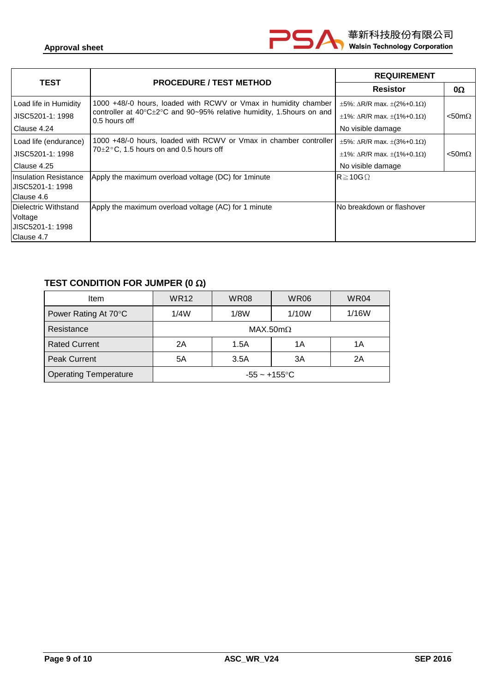| <b>TEST</b>                                       | <b>PROCEDURE / TEST METHOD</b>                                                                         | <b>REQUIREMENT</b>                                    |                  |
|---------------------------------------------------|--------------------------------------------------------------------------------------------------------|-------------------------------------------------------|------------------|
|                                                   |                                                                                                        | <b>Resistor</b>                                       | $0\Omega$        |
| Load life in Humidity                             | 1000 +48/-0 hours, loaded with RCWV or Vmax in humidity chamber                                        | $\pm 5\%$ : $\Delta$ R/R max. $\pm (2\% + 0.1\Omega)$ |                  |
| JISC5201-1: 1998                                  | controller at $40^{\circ}$ C $\pm$ 2°C and 90~95% relative humidity, 1.5 hours on and<br>0.5 hours off | $\pm$ 1%: $\Delta$ R/R max. $\pm$ (1%+0.1 $\Omega$ )  | $<$ 50m $\Omega$ |
| Clause 4.24                                       |                                                                                                        | No visible damage                                     |                  |
| Load life (endurance)                             | 1000 +48/-0 hours, loaded with RCWV or Vmax in chamber controller                                      | $\pm 5\%$ : $\Delta R/R$ max. $\pm (3\% + 0.1\Omega)$ |                  |
| JISC5201-1: 1998                                  | $70\pm2\degree$ C, 1.5 hours on and 0.5 hours off                                                      | $\pm$ 1%: $\Delta$ R/R max. $\pm$ (1%+0.1 $\Omega$ )  | $<$ 50m $\Omega$ |
| Clause 4.25                                       |                                                                                                        | No visible damage                                     |                  |
| <b>Insulation Resistance</b><br>IJISC5201-1: 1998 | Apply the maximum overload voltage (DC) for 1 minute                                                   | $\mathsf{IR} \geq 10 \mathsf{G}\,\Omega$              |                  |
| Clause 4.6                                        |                                                                                                        |                                                       |                  |
| <b>IDielectric Withstand</b>                      | Apply the maximum overload voltage (AC) for 1 minute                                                   | INo breakdown or flashover                            |                  |
| Voltage                                           |                                                                                                        |                                                       |                  |
| IJISC5201-1: 1998                                 |                                                                                                        |                                                       |                  |
| Clause 4.7                                        |                                                                                                        |                                                       |                  |

r

# **TEST CONDITION FOR JUMPER (0 )**

| <b>Item</b>                  | <b>WR12</b>      | <b>WR08</b> | <b>WR06</b> | WR04  |  |  |
|------------------------------|------------------|-------------|-------------|-------|--|--|
| Power Rating At 70°C         | 1/4W             | 1/8W        | 1/10W       | 1/16W |  |  |
| Resistance                   | MAX.50m $\Omega$ |             |             |       |  |  |
| <b>Rated Current</b>         | 2A               | 1.5A        | 1Α          | 1Α    |  |  |
| <b>Peak Current</b>          | 5A               | 3.5A        | 3A          | 2A    |  |  |
| <b>Operating Temperature</b> | $-55 - +155$ °C  |             |             |       |  |  |